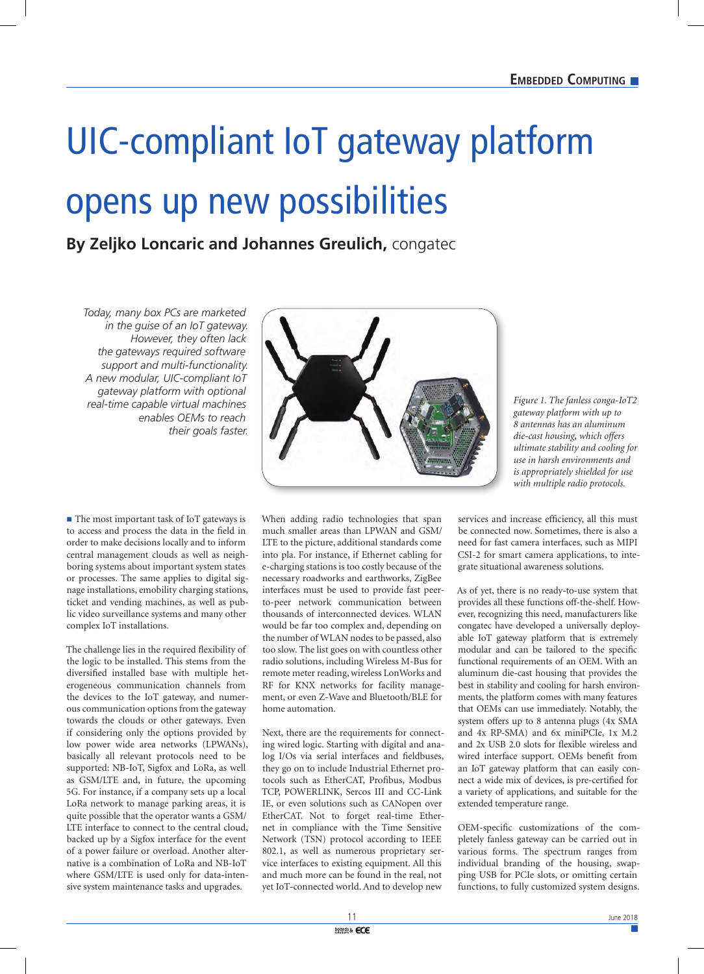## UIC-compliant IoT gateway platform opens up new possibilities

## **By Zeljko Loncaric and Johannes Greulich,** congatec

*Today, many box PCs are marketed in the guise of an IoT gateway. However, they often lack the gateways required software support and multi-functionality. A new modular, UIC-compliant IoT gateway platform with optional real-time capable virtual machines enables OEMs to reach their goals faster.*

■ The most important task of IoT gateways is to access and process the data in the field in order to make decisions locally and to inform central management clouds as well as neighboring systems about important system states or processes. The same applies to digital signage installations, emobility charging stations, ticket and vending machines, as well as public video surveillance systems and many other complex IoT installations.

The challenge lies in the required flexibility of the logic to be installed. This stems from the diversified installed base with multiple heterogeneous communication channels from the devices to the IoT gateway, and numerous communication options from the gateway towards the clouds or other gateways. Even if considering only the options provided by low power wide area networks (LPWANs), basically all relevant protocols need to be supported: NB-IoT, Sigfox and LoRa, as well as GSM/LTE and, in future, the upcoming 5G. For instance, if a company sets up a local LoRa network to manage parking areas, it is quite possible that the operator wants a GSM/ LTE interface to connect to the central cloud, backed up by a Sigfox interface for the event of a power failure or overload. Another alternative is a combination of LoRa and NB-IoT where GSM/LTE is used only for data-intensive system maintenance tasks and upgrades.

When adding radio technologies that span much smaller areas than LPWAN and GSM/ LTE to the picture, additional standards come into pla. For instance, if Ethernet cabling for e-charging stations is too costly because of the necessary roadworks and earthworks, ZigBee interfaces must be used to provide fast peerto-peer network communication between thousands of interconnected devices. WLAN would be far too complex and, depending on the number of WLAN nodes to be passed, also too slow. The list goes on with countless other radio solutions, including Wireless M-Bus for remote meter reading, wireless LonWorks and RF for KNX networks for facility management, or even Z-Wave and Bluetooth/BLE for home automation.

Next, there are the requirements for connecting wired logic. Starting with digital and analog I/Os via serial interfaces and fieldbuses, they go on to include Industrial Ethernet protocols such as EtherCAT, Profibus, Modbus TCP, POWERLINK, Sercos III and CC-Link IE, or even solutions such as CANopen over EtherCAT. Not to forget real-time Ethernet in compliance with the Time Sensitive Network (TSN) protocol according to IEEE 802.1, as well as numerous proprietary service interfaces to existing equipment. All this and much more can be found in the real, not yet IoT-connected world. And to develop new

*Figure 1. The fanless conga-IoT2 gateway platform with up to 8 antennas has an aluminum die-cast housing, which offers ultimate stability and cooling for use in harsh environments and is appropriately shielded for use with multiple radio protocols.*

services and increase efficiency, all this must be connected now. Sometimes, there is also a need for fast camera interfaces, such as MIPI CSI-2 for smart camera applications, to integrate situational awareness solutions.

As of yet, there is no ready-to-use system that provides all these functions off-the-shelf. However, recognizing this need, manufacturers like congatec have developed a universally deployable IoT gateway platform that is extremely modular and can be tailored to the specific functional requirements of an OEM. With an aluminum die-cast housing that provides the best in stability and cooling for harsh environments, the platform comes with many features that OEMs can use immediately. Notably, the system offers up to 8 antenna plugs (4x SMA and 4x RP-SMA) and 6x miniPCIe, 1x M.2 and 2x USB 2.0 slots for flexible wireless and wired interface support. OEMs benefit from an IoT gateway platform that can easily connect a wide mix of devices, is pre-certified for a variety of applications, and suitable for the extended temperature range.

OEM-specific customizations of the completely fanless gateway can be carried out in various forms. The spectrum ranges from individual branding of the housing, swapping USB for PCIe slots, or omitting certain functions, to fully customized system designs.